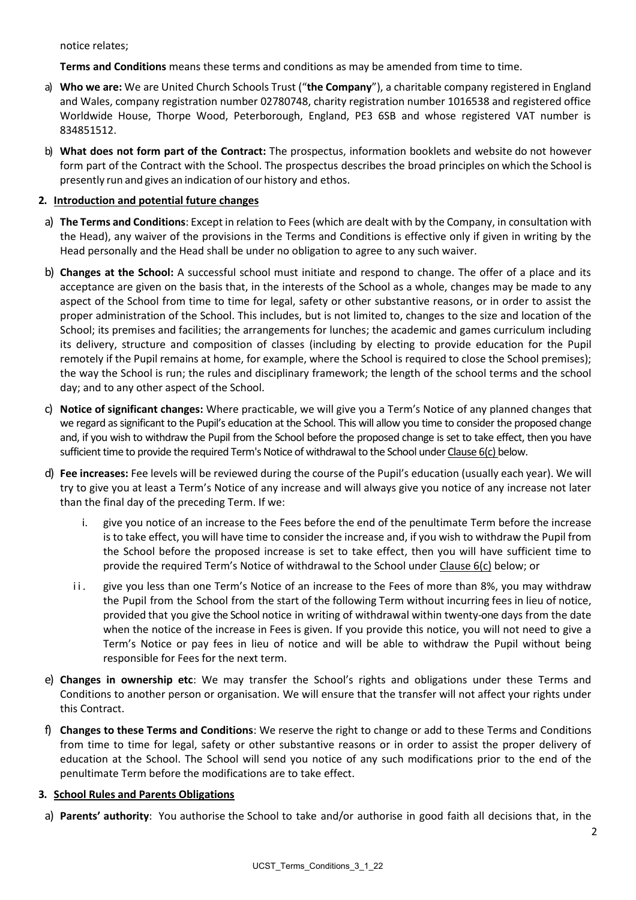notice relates;

**Terms and Conditions** means these terms and conditions as may be amended from time to time.

- a) **Who we are:** We are United Church Schools Trust ("**the Company**"), a charitable company registered in England and Wales, company registration number 02780748, charity registration number 1016538 and registered office Worldwide House, Thorpe Wood, Peterborough, England, PE3 6SB and whose registered VAT number is 834851512.
- b) **What does not form part of the Contract:** The prospectus, information booklets and website do not however form part of the Contract with the School. The prospectus describes the broad principles on which the School is presently run and gives an indication of our history and ethos.

# **2. Introduction and potential future changes**

- a) **The Terms and Conditions**: Except in relation to Fees (which are dealt with by the Company, in consultation with the Head), any waiver of the provisions in the Terms and Conditions is effective only if given in writing by the Head personally and the Head shall be under no obligation to agree to any such waiver.
- b) **Changes at the School:** A successful school must initiate and respond to change. The offer of a place and its acceptance are given on the basis that, in the interests of the School as a whole, changes may be made to any aspect of the School from time to time for legal, safety or other substantive reasons, or in order to assist the proper administration of the School. This includes, but is not limited to, changes to the size and location of the School; its premises and facilities; the arrangements for lunches; the academic and games curriculum including its delivery, structure and composition of classes (including by electing to provide education for the Pupil remotely if the Pupil remains at home, for example, where the School is required to close the School premises); the way the School is run; the rules and disciplinary framework; the length of the school terms and the school day; and to any other aspect of the School.
- c) **Notice of significant changes:** Where practicable, we will give you a Term's Notice of any planned changes that we regard as significant to the Pupil's education at the School. This will allow you time to consider the proposed change and, if you wish to withdraw the Pupil from the School before the proposed change is set to take effect, then you have sufficient time to provide the required Term's Notice of withdrawal to the School under Clause 6[\(c\)](#page-7-0) below.
- d) **Fee increases:** Fee levels will be reviewed during the course of the Pupil's education (usually each year). We will try to give you at least a Term's Notice of any increase and will always give you notice of any increase not later than the final day of the preceding Term. If we:
	- i. give you notice of an increase to the Fees before the end of the penultimate Term before the increase is to take effect, you will have time to consider the increase and, if you wish to withdraw the Pupil from the School before the proposed increase is set to take effect, then you will have sufficient time to provide the required Term's Notice of withdrawal to the School under Clause 6[\(c\)](#page-7-0) below; or
	- ii. give you less than one Term's Notice of an increase to the Fees of more than 8%, you may withdraw the Pupil from the School from the start of the following Term without incurring fees in lieu of notice, provided that you give the School notice in writing of withdrawal within twenty-one days from the date when the notice of the increase in Fees is given. If you provide this notice, you will not need to give a Term's Notice or pay fees in lieu of notice and will be able to withdraw the Pupil without being responsible for Fees for the next term.
- e) **Changes in ownership etc**: We may transfer the School's rights and obligations under these Terms and Conditions to another person or organisation. We will ensure that the transfer will not affect your rights under this Contract.
- f) **Changes to these Terms and Conditions**: We reserve the right to change or add to these Terms and Conditions from time to time for legal, safety or other substantive reasons or in order to assist the proper delivery of education at the School. The School will send you notice of any such modifications prior to the end of the penultimate Term before the modifications are to take effect.

# **3. School Rules and Parents Obligations**

a) **Parents' authority**: You authorise the School to take and/or authorise in good faith all decisions that, in the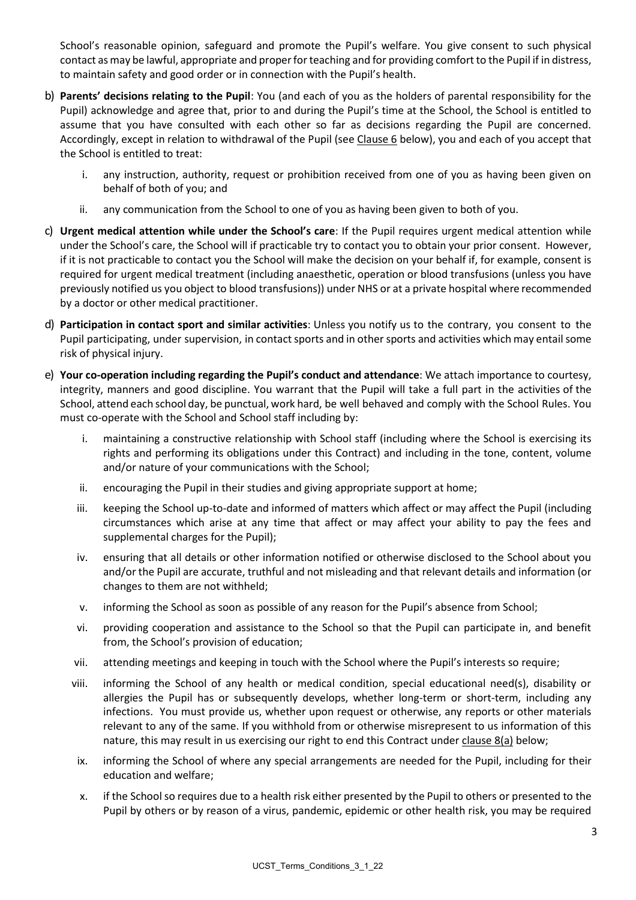School's reasonable opinion, safeguard and promote the Pupil's welfare. You give consent to such physical contact asmay be lawful, appropriate and properfor teaching and for providing comfort to the Pupil if in distress, to maintain safety and good order or in connection with the Pupil's health.

- b) **Parents' decisions relating to the Pupil**: You (and each of you as the holders of parental responsibility for the Pupil) acknowledge and agree that, prior to and during the Pupil's time at the School, the School is entitled to assume that you have consulted with each other so far as decisions regarding the Pupil are concerned. Accordingly, except in relation to withdrawal of the Pupil (see Clause 6 below), you and each of you accept that the School is entitled to treat:
	- i. any instruction, authority, request or prohibition received from one of you as having been given on behalf of both of you; and
	- ii. any communication from the School to one of you as having been given to both of you.
- c) **Urgent medical attention while under the School's care**: If the Pupil requires urgent medical attention while under the School's care, the School will if practicable try to contact you to obtain your prior consent. However, if it is not practicable to contact you the School will make the decision on your behalf if, for example, consent is required for urgent medical treatment (including anaesthetic, operation or blood transfusions (unless you have previously notified us you object to blood transfusions)) under NHS or at a private hospital where recommended by a doctor or other medical practitioner.
- d) **Participation in contact sport and similar activities**: Unless you notify us to the contrary, you consent to the Pupil participating, under supervision, in contact sports and in other sports and activities which may entail some risk of physical injury.
- e) **Your co-operation including regarding the Pupil's conduct and attendance**: We attach importance to courtesy, integrity, manners and good discipline. You warrant that the Pupil will take a full part in the activities of the School, attend each school day, be punctual, work hard, be well behaved and comply with the School Rules. You must co-operate with the School and School staff including by:
	- i. maintaining a constructive relationship with School staff (including where the School is exercising its rights and performing its obligations under this Contract) and including in the tone, content, volume and/or nature of your communications with the School;
	- ii. encouraging the Pupil in their studies and giving appropriate support at home;
	- iii. keeping the School up-to-date and informed of matters which affect or may affect the Pupil (including circumstances which arise at any time that affect or may affect your ability to pay the fees and supplemental charges for the Pupil);
	- iv. ensuring that all details or other information notified or otherwise disclosed to the School about you and/or the Pupil are accurate, truthful and not misleading and that relevant details and information (or changes to them are not withheld;
	- v. informing the School as soon as possible of any reason for the Pupil's absence from School;
	- vi. providing cooperation and assistance to the School so that the Pupil can participate in, and benefit from, the School's provision of education;
	- vii. attending meetings and keeping in touch with the School where the Pupil's interests so require;
	- viii. informing the School of any health or medical condition, special educational need(s), disability or allergies the Pupil has or subsequently develops, whether long-term or short-term, including any infections. You must provide us, whether upon request or otherwise, any reports or other materials relevant to any of the same. If you withhold from or otherwise misrepresent to us information of this nature, this may result in us exercising our right to end this Contract under clause 8(a) below;
	- ix. informing the School of where any special arrangements are needed for the Pupil, including for their education and welfare;
	- x. if the School so requires due to a health risk either presented by the Pupil to others or presented to the Pupil by others or by reason of a virus, pandemic, epidemic or other health risk, you may be required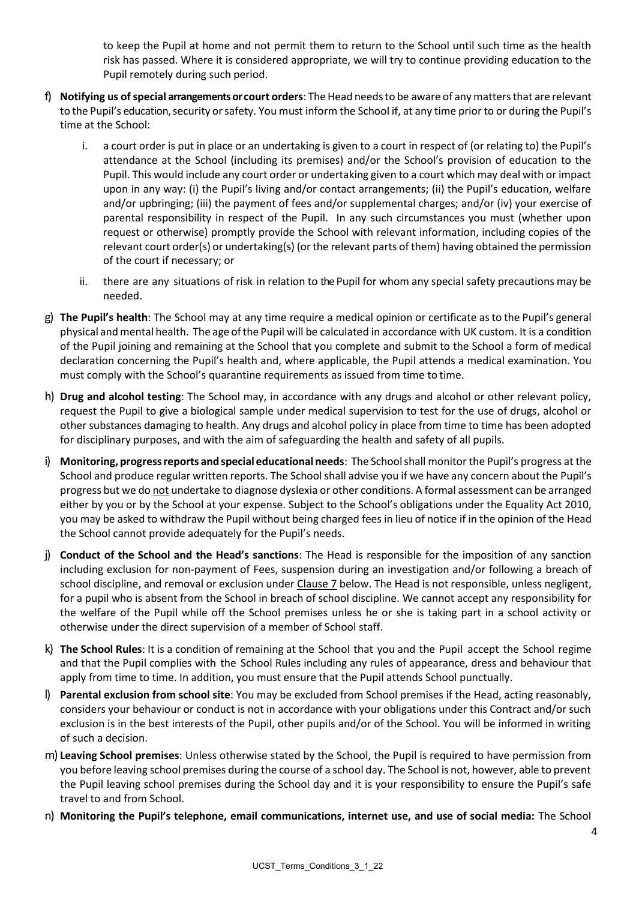to keep the Pupil at home and not permit them to return to the School until such time as the health risk has passed. Where it is considered appropriate, we will try to continue providing education to the Pupil remotely during such period.

- f) **Notifying us of special arrangements or court orders**: The Head needsto be aware of anymattersthat are relevant to the Pupil's education, security orsafety. You must inform the School if, at any time prior to or during the Pupil's time at the School:
	- i. a court order is put in place or an undertaking is given to a court in respect of (or relating to) the Pupil's attendance at the School (including its premises) and/or the School's provision of education to the Pupil. This would include any court order or undertaking given to a court which may deal with or impact upon in any way: (i) the Pupil's living and/or contact arrangements; (ii) the Pupil's education, welfare and/or upbringing; (iii) the payment of fees and/or supplemental charges; and/or (iv) your exercise of parental responsibility in respect of the Pupil. In any such circumstances you must (whether upon request or otherwise) promptly provide the School with relevant information, including copies of the relevant court order(s) or undertaking(s) (or the relevant parts of them) having obtained the permission of the court if necessary; or
	- ii. there are any situations of risk in relation to the Pupil for whom any special safety precautions may be needed.
- g) **The Pupil's health**: The School may at any time require a medical opinion or certificate asto the Pupil's general physical andmental health. The age ofthe Pupil will be calculated in accordance with UK custom. It is a condition of the Pupil joining and remaining at the School that you complete and submit to the School a form of medical declaration concerning the Pupil's health and, where applicable, the Pupil attends a medical examination. You must comply with the School's quarantine requirements as issued from time to time.
- h) **Drug and alcohol testing**: The School may, in accordance with any drugs and alcohol or other relevant policy, request the Pupil to give a biological sample under medical supervision to test for the use of drugs, alcohol or other substances damaging to health. Any drugs and alcohol policy in place from time to time has been adopted for disciplinary purposes, and with the aim of safeguarding the health and safety of all pupils.
- i) **Monitoring, progressreports and special educational needs**: The Schoolshall monitor the Pupil's progress at the School and produce regular written reports. The School shall advise you if we have any concern about the Pupil's progress but we do not undertake to diagnose dyslexia or other conditions. A formal assessment can be arranged either by you or by the School at your expense. Subject to the School's obligations under the Equality Act 2010, you may be asked to withdraw the Pupil without being charged fees in lieu of notice if in the opinion of the Head the School cannot provide adequately for the Pupil's needs.
- j) **Conduct of the School and the Head's sanctions**: The Head is responsible for the imposition of any sanction including exclusion for non-payment of Fees, suspension during an investigation and/or following a breach of school discipline, and removal or exclusion under Clause 7 below. The Head is not responsible, unless negligent, for a pupil who is absent from the School in breach of school discipline. We cannot accept any responsibility for the welfare of the Pupil while off the School premises unless he or she is taking part in a school activity or otherwise under the direct supervision of a member of School staff.
- k) **The School Rules**: It is a condition of remaining at the School that you and the Pupil accept the School regime and that the Pupil complies with the School Rules including any rules of appearance, dress and behaviour that apply from time to time. In addition, you must ensure that the Pupil attends School punctually.
- l) **Parental exclusion from school site**: You may be excluded from School premises if the Head, acting reasonably, considers your behaviour or conduct is not in accordance with your obligations under this Contract and/or such exclusion is in the best interests of the Pupil, other pupils and/or of the School. You will be informed in writing of such a decision.
- m) **Leaving School premises**: Unless otherwise stated by the School, the Pupil is required to have permission from you before leaving school premises during the course of a school day. The School is not, however, able to prevent the Pupil leaving school premises during the School day and it is your responsibility to ensure the Pupil's safe travel to and from School.
- n) **Monitoring the Pupil's telephone, email communications, internet use, and use of social media:** The School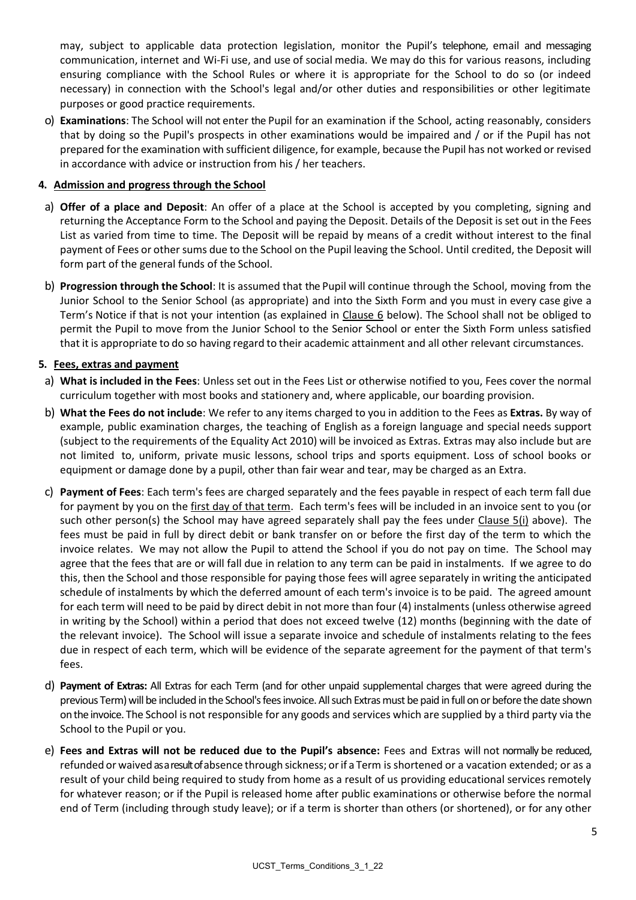may, subject to applicable data protection legislation, monitor the Pupil's telephone, email and messaging communication, internet and Wi-Fi use, and use of social media. We may do this for various reasons, including ensuring compliance with the School Rules or where it is appropriate for the School to do so (or indeed necessary) in connection with the School's legal and/or other duties and responsibilities or other legitimate purposes or good practice requirements.

o) **Examinations**: The School will not enter the Pupil for an examination if the School, acting reasonably, considers that by doing so the Pupil's prospects in other examinations would be impaired and / or if the Pupil has not prepared for the examination with sufficient diligence, for example, because the Pupil has not worked or revised in accordance with advice or instruction from his / her teachers.

#### **4. Admission and progress through the School**

- a) **Offer of a place and Deposit**: An offer of a place at the School is accepted by you completing, signing and returning the Acceptance Form to the School and paying the Deposit. Details of the Deposit is set out in the Fees List as varied from time to time. The Deposit will be repaid by means of a credit without interest to the final payment of Fees or other sums due to the School on the Pupil leaving the School. Until credited, the Deposit will form part of the general funds of the School.
- b) **Progression through the School**: It is assumed that the Pupil will continue through the School, moving from the Junior School to the Senior School (as appropriate) and into the Sixth Form and you must in every case give a Term's Notice if that is not your intention (as explained in Clause [6](#page-6-0) below). The School shall not be obliged to permit the Pupil to move from the Junior School to the Senior School or enter the Sixth Form unless satisfied that it is appropriate to do so having regard to their academic attainment and all other relevant circumstances.

#### **5. Fees, extras and payment**

- a) **What is included in the Fees**: Unless set out in the Fees List or otherwise notified to you, Fees cover the normal curriculum together with most books and stationery and, where applicable, our boarding provision.
- b) **What the Fees do not include**: We refer to any items charged to you in addition to the Fees as **Extras.** By way of example, public examination charges, the teaching of English as a foreign language and special needs support (subject to the requirements of the Equality Act 2010) will be invoiced as Extras. Extras may also include but are not limited to, uniform, private music lessons, school trips and sports equipment. Loss of school books or equipment or damage done by a pupil, other than fair wear and tear, may be charged as an Extra.
- c) **Payment of Fees**: Each term's fees are charged separately and the fees payable in respect of each term fall due for payment by you on the first day of that term. Each term's fees will be included in an invoice sent to you (or such other person(s) the School may have agreed separately shall pay the fees under Clause  $5(i)$  above). The fees must be paid in full by direct debit or bank transfer on or before the first day of the term to which the invoice relates. We may not allow the Pupil to attend the School if you do not pay on time. The School may agree that the fees that are or will fall due in relation to any term can be paid in instalments. If we agree to do this, then the School and those responsible for paying those fees will agree separately in writing the anticipated schedule of instalments by which the deferred amount of each term's invoice is to be paid. The agreed amount for each term will need to be paid by direct debit in not more than four (4) instalments (unless otherwise agreed in writing by the School) within a period that does not exceed twelve (12) months (beginning with the date of the relevant invoice). The School will issue a separate invoice and schedule of instalments relating to the fees due in respect of each term, which will be evidence of the separate agreement for the payment of that term's fees.
- d) **Payment of Extras:** All Extras for each Term (and for other unpaid supplemental charges that were agreed during the previous Term) will be included in the School's fees invoice. All such Extrasmust be paid in full on or before the date shown on the invoice. The School is not responsible for any goods and services which are supplied by a third party via the School to the Pupil or you.
- e) **Fees and Extras will not be reduced due to the Pupil's absence:** Fees and Extras will not normally be reduced, refunded or waived as a result of absence through sickness; or if a Term is shortened or a vacation extended; or as a result of your child being required to study from home as a result of us providing educational services remotely for whatever reason; or if the Pupil is released home after public examinations or otherwise before the normal end of Term (including through study leave); or if a term is shorter than others (or shortened), or for any other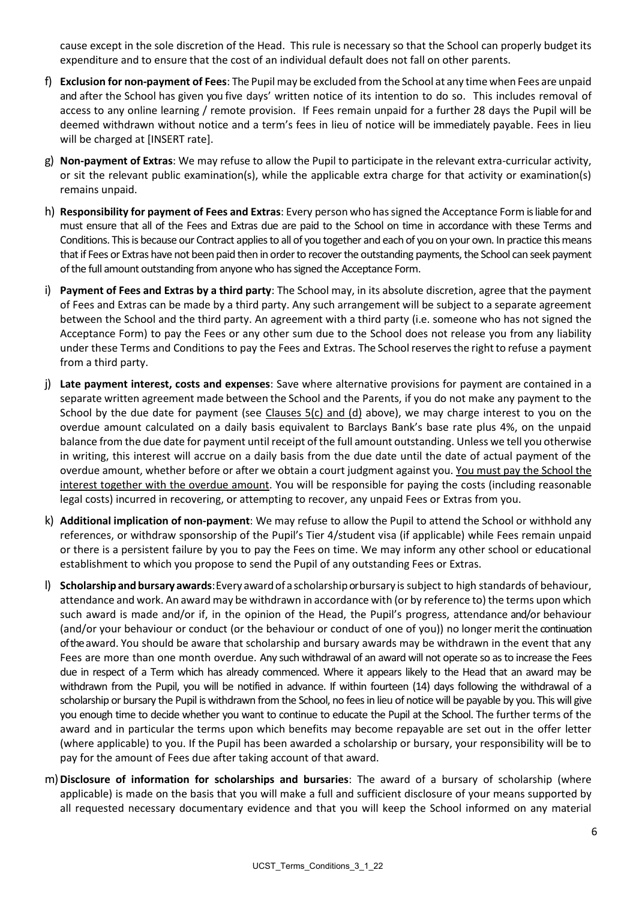cause except in the sole discretion of the Head. This rule is necessary so that the School can properly budget its expenditure and to ensure that the cost of an individual default does not fall on other parents.

- f) **Exclusion for non-payment of Fees**: The Pupilmay be excluded from the School at any time when Fees are unpaid and after the School has given you five days' written notice of its intention to do so. This includes removal of access to any online learning / remote provision. If Fees remain unpaid for a further 28 days the Pupil will be deemed withdrawn without notice and a term's fees in lieu of notice will be immediately payable. Fees in lieu will be charged at [INSERT rate].
- g) **Non-payment of Extras**: We may refuse to allow the Pupil to participate in the relevant extra-curricular activity, or sit the relevant public examination(s), while the applicable extra charge for that activity or examination(s) remains unpaid.
- h) **Responsibility for payment of Fees and Extras**: Every person who hassigned the Acceptance Form is liable for and must ensure that all of the Fees and Extras due are paid to the School on time in accordance with these Terms and Conditions. This is because our Contract applies to all of you together and each of you on your own. In practice this means that if Fees or Extras have not been paid then in order to recover the outstanding payments, the School can seek payment of the full amount outstanding from anyone who has signed the Acceptance Form.
- i) **Payment of Fees and Extras by a third party**: The School may, in its absolute discretion, agree that the payment of Fees and Extras can be made by a third party. Any such arrangement will be subject to a separate agreement between the School and the third party. An agreement with a third party (i.e. someone who has not signed the Acceptance Form) to pay the Fees or any other sum due to the School does not release you from any liability under these Terms and Conditions to pay the Fees and Extras. The School reserves the right to refuse a payment from a third party.
- j) **Late payment interest, costs and expenses**: Save where alternative provisions for payment are contained in a separate written agreement made between the School and the Parents, if you do not make any payment to the School by the due date for payment (see Clauses 5(c) and (d) above), we may charge interest to you on the overdue amount calculated on a daily basis equivalent to Barclays Bank's base rate plus 4%, on the unpaid balance from the due date for payment until receipt of the full amount outstanding. Unless we tell you otherwise in writing, this interest will accrue on a daily basis from the due date until the date of actual payment of the overdue amount, whether before or after we obtain a court judgment against you. You must pay the School the interest together with the overdue amount. You will be responsible for paying the costs (including reasonable legal costs) incurred in recovering, or attempting to recover, any unpaid Fees or Extras from you.
- k) **Additional implication of non-payment**: We may refuse to allow the Pupil to attend the School or withhold any references, or withdraw sponsorship of the Pupil's Tier 4/student visa (if applicable) while Fees remain unpaid or there is a persistent failure by you to pay the Fees on time. We may inform any other school or educational establishment to which you propose to send the Pupil of any outstanding Fees or Extras.
- l) **Scholarshipand bursary awards**: Every awardof ascholarshipor bursary is subject to high standards of behaviour, attendance and work. An award may be withdrawn in accordance with (or by reference to) the terms upon which such award is made and/or if, in the opinion of the Head, the Pupil's progress, attendance and/or behaviour (and/or your behaviour or conduct (or the behaviour or conduct of one of you)) no longer meritthe continuation of the award. You should be aware that scholarship and bursary awards may be withdrawn in the event that any Fees are more than one month overdue. Any such withdrawal of an award will not operate so as to increase the Fees due in respect of a Term which has already commenced. Where it appears likely to the Head that an award may be withdrawn from the Pupil, you will be notified in advance. If within fourteen (14) days following the withdrawal of a scholarship or bursary the Pupil is withdrawn from the School, no fees in lieu of notice will be payable by you. This will give you enough time to decide whether you want to continue to educate the Pupil at the School. The further terms of the award and in particular the terms upon which benefits may become repayable are set out in the offer letter (where applicable) to you. If the Pupil has been awarded a scholarship or bursary, your responsibility will be to pay for the amount of Fees due after taking account of that award.
- m)**Disclosure of information for scholarships and bursaries**: The award of a bursary of scholarship (where applicable) is made on the basis that you will make a full and sufficient disclosure of your means supported by all requested necessary documentary evidence and that you will keep the School informed on any material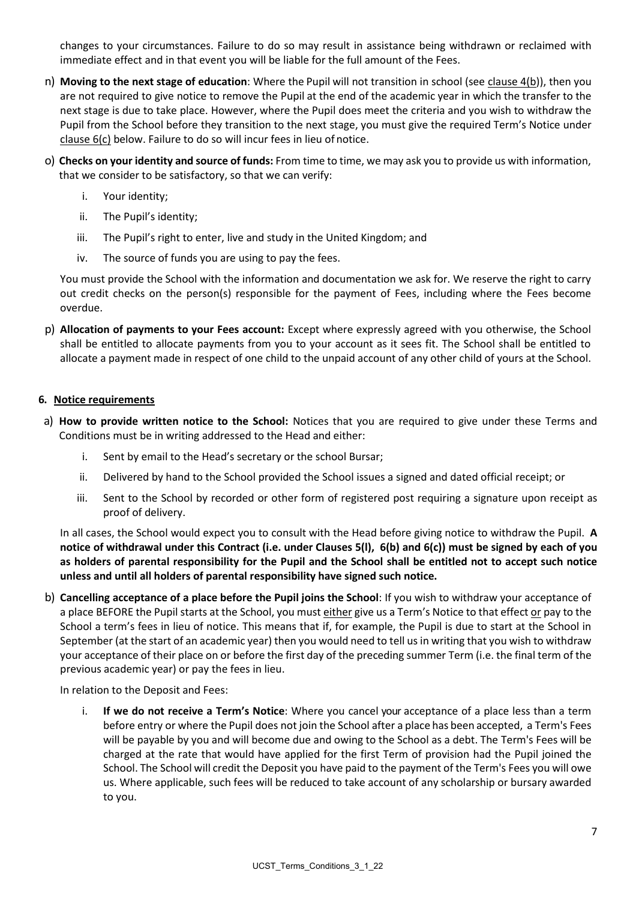changes to your circumstances. Failure to do so may result in assistance being withdrawn or reclaimed with immediate effect and in that event you will be liable for the full amount of the Fees.

- n) **Moving to the next stage of education**: Where the Pupil will not transition in school (see clause 4(b)), then you are not required to give notice to remove the Pupil at the end of the academic year in which the transfer to the next stage is due to take place. However, where the Pupil does meet the criteria and you wish to withdraw the Pupil from the School before they transition to the next stage, you must give the required Term's Notice under clause 6(c) below. Failure to do so will incur fees in lieu of notice.
- o) **Checks on your identity and source of funds:** From time to time, we may ask you to provide us with information, that we consider to be satisfactory, so that we can verify:
	- i. Your identity;
	- ii. The Pupil's identity;
	- iii. The Pupil's right to enter, live and study in the United Kingdom; and
	- iv. The source of funds you are using to pay the fees.

You must provide the School with the information and documentation we ask for. We reserve the right to carry out credit checks on the person(s) responsible for the payment of Fees, including where the Fees become overdue.

p) **Allocation of payments to your Fees account:** Except where expressly agreed with you otherwise, the School shall be entitled to allocate payments from you to your account as it sees fit. The School shall be entitled to allocate a payment made in respect of one child to the unpaid account of any other child of yours at the School.

#### <span id="page-6-0"></span>**6. Notice requirements**

- a) **How to provide written notice to the School:** Notices that you are required to give under these Terms and Conditions must be in writing addressed to the Head and either:
	- i. Sent by email to the Head's secretary or the school Bursar;
	- ii. Delivered by hand to the School provided the School issues a signed and dated official receipt; or
	- iii. Sent to the School by recorded or other form of registered post requiring a signature upon receipt as proof of delivery.

In all cases, the School would expect you to consult with the Head before giving notice to withdraw the Pupil. **A notice of withdrawal under this Contract (i.e. under Clauses 5(l), 6(b) and 6(c)) must be signed by each of you as holders of parental responsibility for the Pupil and the School shall be entitled not to accept such notice unless and until all holders of parental responsibility have signed such notice.**

b) **Cancelling acceptance of a place before the Pupil joins the School**: If you wish to withdraw your acceptance of a place BEFORE the Pupil starts at the School, you must either give us a Term's Notice to that effect or pay to the School a term's fees in lieu of notice. This means that if, for example, the Pupil is due to start at the School in September (at the start of an academic year) then you would need to tell us in writing that you wish to withdraw your acceptance of their place on or before the first day of the preceding summer Term (i.e. the final term of the previous academic year) or pay the fees in lieu.

In relation to the Deposit and Fees:

i. **If we do not receive a Term's Notice**: Where you cancel your acceptance of a place less than a term before entry or where the Pupil does not join the School after a place has been accepted, a Term's Fees will be payable by you and will become due and owing to the School as a debt. The Term's Fees will be charged at the rate that would have applied for the first Term of provision had the Pupil joined the School. The School will credit the Deposit you have paid to the payment of the Term's Fees you will owe us. Where applicable, such fees will be reduced to take account of any scholarship or bursary awarded to you.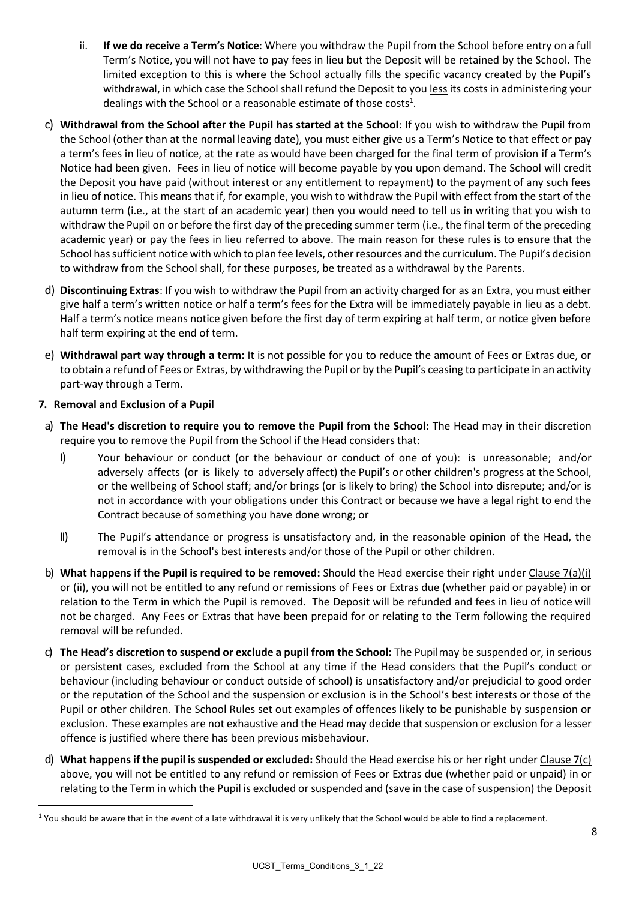- ii. **If we do receive a Term's Notice**: Where you withdraw the Pupil from the School before entry on a full Term's Notice, you will not have to pay fees in lieu but the Deposit will be retained by the School. The limited exception to this is where the School actually fills the specific vacancy created by the Pupil's withdrawal, in which case the School shall refund the Deposit to you less its costs in administering your dealings with the School or a reasonable estimate of those costs<sup>1</sup>.
- <span id="page-7-0"></span>c) **Withdrawal from the School after the Pupil has started at the School**: If you wish to withdraw the Pupil from the School (other than at the normal leaving date), you must either give us a Term's Notice to that effect or pay a term's fees in lieu of notice, at the rate as would have been charged for the final term of provision if a Term's Notice had been given. Fees in lieu of notice will become payable by you upon demand. The School will credit the Deposit you have paid (without interest or any entitlement to repayment) to the payment of any such fees in lieu of notice. This means that if, for example, you wish to withdraw the Pupil with effect from the start of the autumn term (i.e., at the start of an academic year) then you would need to tell us in writing that you wish to withdraw the Pupil on or before the first day of the preceding summer term (i.e., the final term of the preceding academic year) or pay the fees in lieu referred to above. The main reason for these rules is to ensure that the School hassufficient notice with which to plan fee levels, other resources and the curriculum. The Pupil's decision to withdraw from the School shall, for these purposes, be treated as a withdrawal by the Parents.
- d) **Discontinuing Extras**: If you wish to withdraw the Pupil from an activity charged for as an Extra, you must either give half a term's written notice or half a term's fees for the Extra will be immediately payable in lieu as a debt. Half a term's notice means notice given before the first day of term expiring at half term, or notice given before half term expiring at the end of term.
- e) **Withdrawal part way through a term:** It is not possible for you to reduce the amount of Fees or Extras due, or to obtain a refund of Fees or Extras, by withdrawing the Pupil or by the Pupil's ceasing to participate in an activity part-way through a Term.

# **7. Removal and Exclusion of a Pupil**

- a) **The Head's discretion to require you to remove the Pupil from the School:** The Head may in their discretion require you to remove the Pupil from the School if the Head considers that:
	- I) Your behaviour or conduct (or the behaviour or conduct of one of you): is unreasonable; and/or adversely affects (or is likely to adversely affect) the Pupil's or other children's progress at the School, or the wellbeing of School staff; and/or brings (or is likely to bring) the School into disrepute; and/or is not in accordance with your obligations under this Contract or because we have a legal right to end the Contract because of something you have done wrong; or
	- II) The Pupil's attendance or progress is unsatisfactory and, in the reasonable opinion of the Head, the removal is in the School's best interests and/or those of the Pupil or other children.
- b) **What happens if the Pupil is required to be removed:** Should the Head exercise their right under Clause 7(a)(i) or (ii), you will not be entitled to any refund or remissions of Fees or Extras due (whether paid or payable) in or relation to the Term in which the Pupil is removed. The Deposit will be refunded and fees in lieu of notice will not be charged. Any Fees or Extras that have been prepaid for or relating to the Term following the required removal will be refunded.
- c) **The Head's discretion to suspend or exclude a pupil from the School:** The Pupilmay be suspended or, in serious or persistent cases, excluded from the School at any time if the Head considers that the Pupil's conduct or behaviour (including behaviour or conduct outside of school) is unsatisfactory and/or prejudicial to good order or the reputation of the School and the suspension or exclusion is in the School's best interests or those of the Pupil or other children. The School Rules set out examples of offences likely to be punishable by suspension or exclusion. These examples are not exhaustive and the Head may decide that suspension or exclusion for a lesser offence is justified where there has been previous misbehaviour.
- d) **What happens if the pupil is suspended or excluded:** Should the Head exercise his or her right under Clause 7(c) above, you will not be entitled to any refund or remission of Fees or Extras due (whether paid or unpaid) in or relating to the Term in which the Pupil is excluded or suspended and (save in the case of suspension) the Deposit

 $1$  You should be aware that in the event of a late withdrawal it is very unlikely that the School would be able to find a replacement.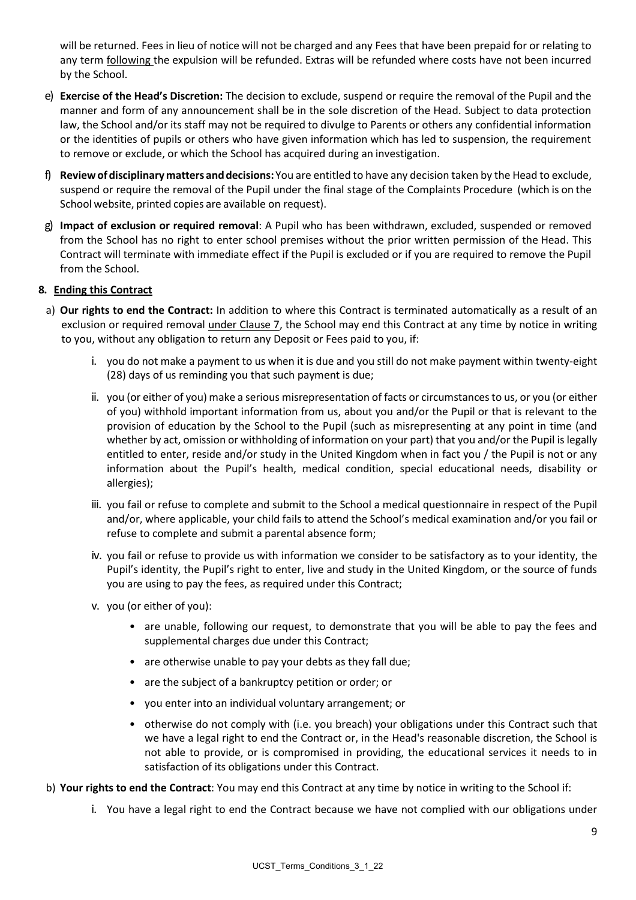will be returned. Fees in lieu of notice will not be charged and any Fees that have been prepaid for or relating to any term following the expulsion will be refunded. Extras will be refunded where costs have not been incurred by the School.

- e) **Exercise of the Head's Discretion:** The decision to exclude, suspend or require the removal of the Pupil and the manner and form of any announcement shall be in the sole discretion of the Head. Subject to data protection law, the School and/or its staff may not be required to divulge to Parents or others any confidential information or the identities of pupils or others who have given information which has led to suspension, the requirement to remove or exclude, or which the School has acquired during an investigation.
- f) **Reviewofdisciplinary matters anddecisions:** You are entitled to have any decision taken by the Head to exclude, suspend or require the removal of the Pupil under the final stage of the Complaints Procedure (which is on the School website, printed copies are available on request).
- g) **Impact of exclusion or required removal**: A Pupil who has been withdrawn, excluded, suspended or removed from the School has no right to enter school premises without the prior written permission of the Head. This Contract will terminate with immediate effect if the Pupil is excluded or if you are required to remove the Pupil from the School.

# **8. Ending this Contract**

- a) **Our rights to end the Contract:** In addition to where this Contract is terminated automatically as a result of an exclusion or required removal under Clause 7, the School may end this Contract at any time by notice in writing to you, without any obligation to return any Deposit or Fees paid to you, if:
	- i. you do not make a payment to us when it is due and you still do not make payment within twenty-eight (28) days of us reminding you that such payment is due;
	- ii. you (or either of you) make a serious misrepresentation of facts or circumstances to us, or you (or either of you) withhold important information from us, about you and/or the Pupil or that is relevant to the provision of education by the School to the Pupil (such as misrepresenting at any point in time (and whether by act, omission or withholding of information on your part) that you and/or the Pupil is legally entitled to enter, reside and/or study in the United Kingdom when in fact you / the Pupil is not or any information about the Pupil's health, medical condition, special educational needs, disability or allergies);
	- iii. you fail or refuse to complete and submit to the School a medical questionnaire in respect of the Pupil and/or, where applicable, your child fails to attend the School's medical examination and/or you fail or refuse to complete and submit a parental absence form;
	- iv. you fail or refuse to provide us with information we consider to be satisfactory as to your identity, the Pupil's identity, the Pupil's right to enter, live and study in the United Kingdom, or the source of funds you are using to pay the fees, as required under this Contract;
	- v. you (or either of you):
		- are unable, following our request, to demonstrate that you will be able to pay the fees and supplemental charges due under this Contract;
		- are otherwise unable to pay your debts as they fall due;
		- are the subject of a bankruptcy petition or order; or
		- you enter into an individual voluntary arrangement; or
		- otherwise do not comply with (i.e. you breach) your obligations under this Contract such that we have a legal right to end the Contract or, in the Head's reasonable discretion, the School is not able to provide, or is compromised in providing, the educational services it needs to in satisfaction of its obligations under this Contract.
- b) **Your rights to end the Contract**: You may end this Contract at any time by notice in writing to the School if:
	- i. You have a legal right to end the Contract because we have not complied with our obligations under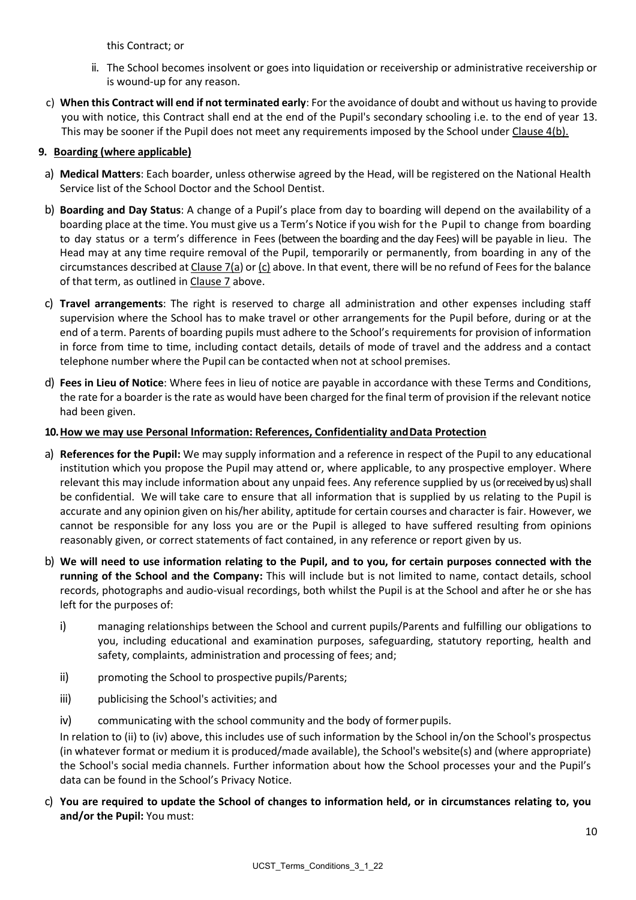this Contract; or

- ii. The School becomes insolvent or goes into liquidation or receivership or administrative receivership or is wound-up for any reason.
- c) **When this Contract will end if not terminated early**: For the avoidance of doubt and without us having to provide you with notice, this Contract shall end at the end of the Pupil's secondary schooling i.e. to the end of year 13. This may be sooner if the Pupil does not meet any requirements imposed by the School under Clause 4(b).

# **9. Boarding (where applicable)**

- a) **Medical Matters**: Each boarder, unless otherwise agreed by the Head, will be registered on the National Health Service list of the School Doctor and the School Dentist.
- b) **Boarding and Day Status**: A change of a Pupil's place from day to boarding will depend on the availability of a boarding place at the time. You must give us a Term's Notice if you wish for the Pupil to change from boarding to day status or a term's difference in Fees (between the boarding and the day Fees) will be payable in lieu. The Head may at any time require removal of the Pupil, temporarily or permanently, from boarding in any of the circumstances described at Clause 7(a) or  $(c)$  above. In that event, there will be no refund of Fees for the balance of that term, as outlined in Clause 7 above.
- c) **Travel arrangements**: The right is reserved to charge all administration and other expenses including staff supervision where the School has to make travel or other arrangements for the Pupil before, during or at the end of a term. Parents of boarding pupils must adhere to the School's requirements for provision of information in force from time to time, including contact details, details of mode of travel and the address and a contact telephone number where the Pupil can be contacted when not at school premises.
- d) **Fees in Lieu of Notice**: Where fees in lieu of notice are payable in accordance with these Terms and Conditions, the rate for a boarder is the rate as would have been charged for the final term of provision if the relevant notice had been given.

# **10.How we may use Personal Information: References, Confidentiality andData Protection**

- a) **References for the Pupil:** We may supply information and a reference in respect of the Pupil to any educational institution which you propose the Pupil may attend or, where applicable, to any prospective employer. Where relevant this may include information about any unpaid fees. Any reference supplied by us(or received by us) shall be confidential. We will take care to ensure that all information that is supplied by us relating to the Pupil is accurate and any opinion given on his/her ability, aptitude for certain courses and character is fair. However, we cannot be responsible for any loss you are or the Pupil is alleged to have suffered resulting from opinions reasonably given, or correct statements of fact contained, in any reference or report given by us.
- b) **We will need to use information relating to the Pupil, and to you, for certain purposes connected with the running of the School and the Company:** This will include but is not limited to name, contact details, school records, photographs and audio-visual recordings, both whilst the Pupil is at the School and after he or she has left for the purposes of:
	- i) managing relationships between the School and current pupils/Parents and fulfilling our obligations to you, including educational and examination purposes, safeguarding, statutory reporting, health and safety, complaints, administration and processing of fees; and;
	- ii) promoting the School to prospective pupils/Parents;
	- iii) publicising the School's activities; and
	- iv) communicating with the school community and the body of former pupils.

In relation to (ii) to (iv) above, this includes use of such information by the School in/on the School's prospectus (in whatever format or medium it is produced/made available), the School's website(s) and (where appropriate) the School's social media channels. Further information about how the School processes your and the Pupil's data can be found in the School's Privacy Notice.

c) **You are required to update the School of changes to information held, or in circumstances relating to, you and/or the Pupil:** You must: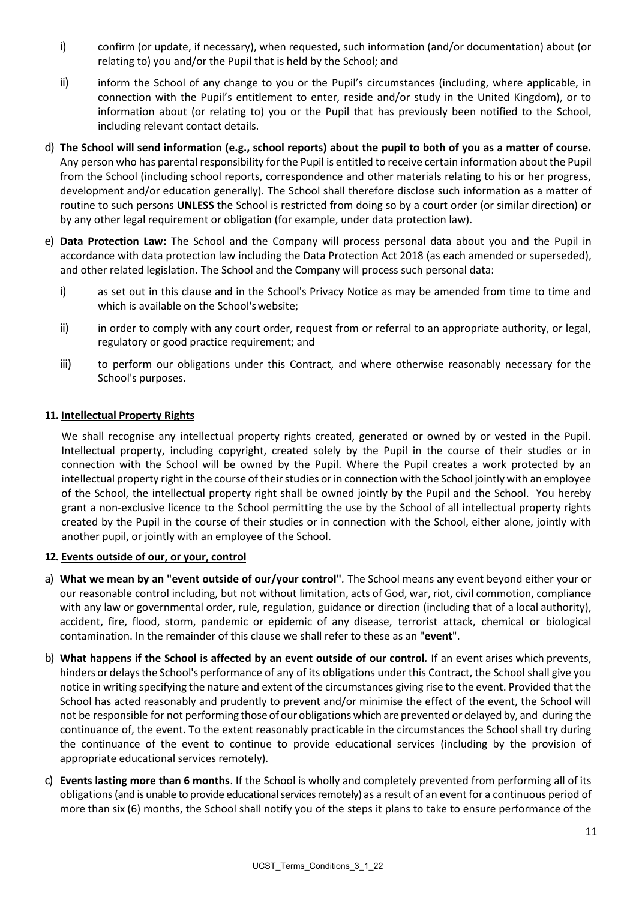- i) confirm (or update, if necessary), when requested, such information (and/or documentation) about (or relating to) you and/or the Pupil that is held by the School; and
- ii) inform the School of any change to you or the Pupil's circumstances (including, where applicable, in connection with the Pupil's entitlement to enter, reside and/or study in the United Kingdom), or to information about (or relating to) you or the Pupil that has previously been notified to the School, including relevant contact details.
- d) **The School will send information (e.g., school reports) about the pupil to both of you as a matter of course.**  Any person who has parental responsibility for the Pupil is entitled to receive certain information about the Pupil from the School (including school reports, correspondence and other materials relating to his or her progress, development and/or education generally). The School shall therefore disclose such information as a matter of routine to such persons **UNLESS** the School is restricted from doing so by a court order (or similar direction) or by any other legal requirement or obligation (for example, under data protection law).
- e) **Data Protection Law:** The School and the Company will process personal data about you and the Pupil in accordance with data protection law including the Data Protection Act 2018 (as each amended or superseded), and other related legislation. The School and the Company will process such personal data:
	- i) as set out in this clause and in the School's Privacy Notice as may be amended from time to time and which is available on the School'swebsite;
	- ii) in order to comply with any court order, request from or referral to an appropriate authority, or legal, regulatory or good practice requirement; and
	- iii) to perform our obligations under this Contract, and where otherwise reasonably necessary for the School's purposes.

# **11. Intellectual Property Rights**

We shall recognise any intellectual property rights created, generated or owned by or vested in the Pupil. Intellectual property, including copyright, created solely by the Pupil in the course of their studies or in connection with the School will be owned by the Pupil. Where the Pupil creates a work protected by an intellectual property right in the course of their studies or in connection with the School jointly with an employee of the School, the intellectual property right shall be owned jointly by the Pupil and the School. You hereby grant a non-exclusive licence to the School permitting the use by the School of all intellectual property rights created by the Pupil in the course of their studies or in connection with the School, either alone, jointly with another pupil, or jointly with an employee of the School.

#### **12. Events outside of our, or your, control**

- a) **What we mean by an "event outside of our/your control"***.* The School means any event beyond either your or our reasonable control including, but not without limitation, acts of God, war, riot, civil commotion, compliance with any law or governmental order, rule, regulation, guidance or direction (including that of a local authority), accident, fire, flood, storm, pandemic or epidemic of any disease, terrorist attack, chemical or biological contamination. In the remainder of this clause we shall refer to these as an "**event**".
- b) **What happens if the School is affected by an event outside of our control***.* If an event arises which prevents, hinders or delaysthe School's performance of any of its obligations under this Contract, the School shall give you notice in writing specifying the nature and extent of the circumstances giving rise to the event. Provided that the School has acted reasonably and prudently to prevent and/or minimise the effect of the event, the School will not be responsible for not performing those of ourobligations which are prevented or delayed by, and during the continuance of, the event. To the extent reasonably practicable in the circumstances the School shall try during the continuance of the event to continue to provide educational services (including by the provision of appropriate educational services remotely).
- c) **Events lasting more than 6 months**. If the School is wholly and completely prevented from performing all of its obligations(and is unable to provide educational services remotely) as a result of an event for a continuous period of more than six (6) months, the School shall notify you of the steps it plans to take to ensure performance of the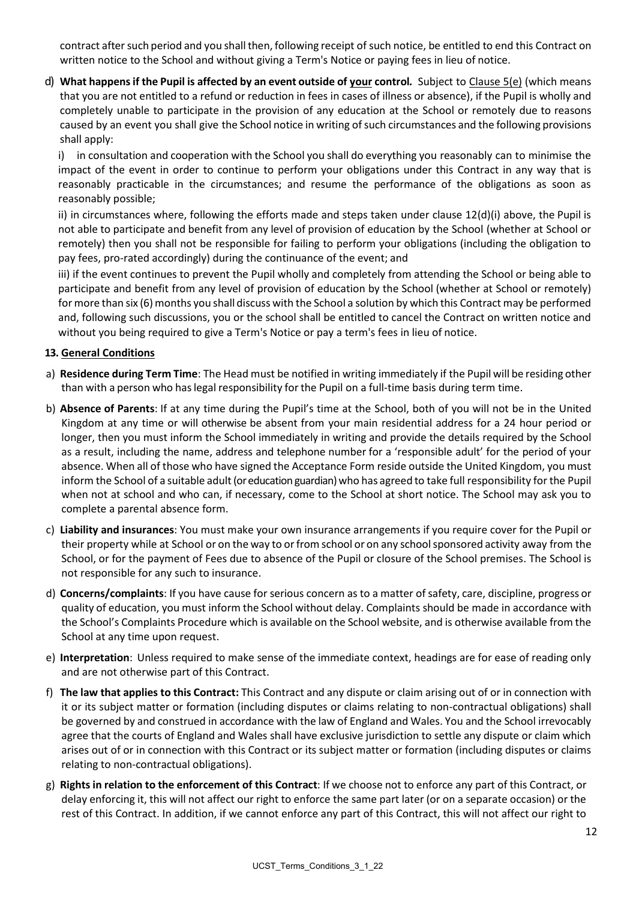contract after such period and you shall then, following receipt of such notice, be entitled to end this Contract on written notice to the School and without giving a Term's Notice or paying fees in lieu of notice.

d) **What happensif the Pupil is affected by an event outside of your control***.* Subject to Clause 5(e) (which means that you are not entitled to a refund or reduction in fees in cases of illness or absence), if the Pupil is wholly and completely unable to participate in the provision of any education at the School or remotely due to reasons caused by an event you shall give the School notice in writing ofsuch circumstances and the following provisions shall apply:

i) in consultation and cooperation with the School you shall do everything you reasonably can to minimise the impact of the event in order to continue to perform your obligations under this Contract in any way that is reasonably practicable in the circumstances; and resume the performance of the obligations as soon as reasonably possible;

ii) in circumstances where, following the efforts made and steps taken under clause 12(d)(i) above, the Pupil is not able to participate and benefit from any level of provision of education by the School (whether at School or remotely) then you shall not be responsible for failing to perform your obligations (including the obligation to pay fees, pro-rated accordingly) during the continuance of the event; and

iii) if the event continues to prevent the Pupil wholly and completely from attending the School or being able to participate and benefit from any level of provision of education by the School (whether at School or remotely) for more than six (6) months you shall discuss with the School a solution by which this Contract may be performed and, following such discussions, you or the school shall be entitled to cancel the Contract on written notice and without you being required to give a Term's Notice or pay a term's fees in lieu of notice.

# **13. General Conditions**

- a) **Residence during Term Time**: The Head must be notified in writing immediately if the Pupil will be residing other than with a person who haslegal responsibility forthe Pupil on a full-time basis during term time.
- b) **Absence of Parents**: If at any time during the Pupil's time at the School, both of you will not be in the United Kingdom at any time or will otherwise be absent from your main residential address for a 24 hour period or longer, then you must inform the School immediately in writing and provide the details required by the School as a result, including the name, address and telephone number for a 'responsible adult' for the period of your absence. When all of those who have signed the Acceptance Form reside outside the United Kingdom, you must inform the School of a suitable adult(or education guardian) who has agreed to take full responsibility for the Pupil when not at school and who can, if necessary, come to the School at short notice. The School may ask you to complete a parental absence form.
- c) **Liability and insurances**: You must make your own insurance arrangements if you require cover for the Pupil or their property while at School or on the way to or from school or on any school sponsored activity away from the School, or for the payment of Fees due to absence of the Pupil or closure of the School premises. The School is not responsible for any such to insurance.
- d) **Concerns/complaints**: If you have cause for serious concern as to a matter ofsafety, care, discipline, progress or quality of education, you must inform the School without delay. Complaints should be made in accordance with the School's Complaints Procedure which is available on the School website, and is otherwise available from the School at any time upon request.
- e) **Interpretation**: Unless required to make sense of the immediate context, headings are for ease of reading only and are not otherwise part of this Contract.
- f) **The law that applies to this Contract:** This Contract and any dispute or claim arising out of or in connection with it or its subject matter or formation (including disputes or claims relating to non-contractual obligations) shall be governed by and construed in accordance with the law of England and Wales. You and the School irrevocably agree that the courts of England and Wales shall have exclusive jurisdiction to settle any dispute or claim which arises out of or in connection with this Contract or its subject matter or formation (including disputes or claims relating to non-contractual obligations).
- g) **Rights in relation to the enforcement of this Contract**: If we choose not to enforce any part of this Contract, or delay enforcing it, this will not affect our right to enforce the same part later (or on a separate occasion) or the rest of this Contract. In addition, if we cannot enforce any part of this Contract, this will not affect our right to